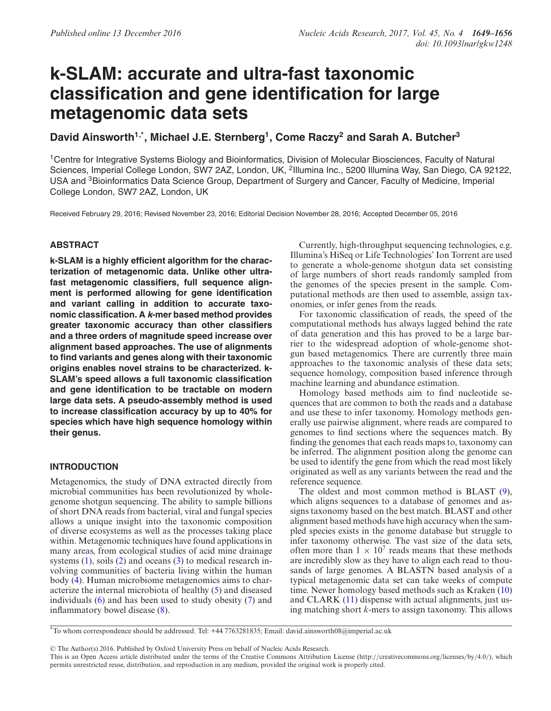# **k-SLAM: accurate and ultra-fast taxonomic classification and gene identification for large metagenomic data sets**

**David Ainsworth1,\*, Michael J.E. Sternberg1, Come Raczy2 and Sarah A. Butcher<sup>3</sup>**

1Centre for Integrative Systems Biology and Bioinformatics, Division of Molecular Biosciences, Faculty of Natural Sciences, Imperial College London, SW7 2AZ, London, UK, 2Illumina Inc., 5200 Illumina Way, San Diego, CA 92122, USA and <sup>3</sup>Bioinformatics Data Science Group, Department of Surgery and Cancer, Faculty of Medicine, Imperial College London, SW7 2AZ, London, UK

Received February 29, 2016; Revised November 23, 2016; Editorial Decision November 28, 2016; Accepted December 05, 2016

# **ABSTRACT**

**k-SLAM is a highly efficient algorithm for the characterization of metagenomic data. Unlike other ultrafast metagenomic classifiers, full sequence alignment is performed allowing for gene identification and variant calling in addition to accurate taxonomic classification. A k-mer based method provides greater taxonomic accuracy than other classifiers and a three orders of magnitude speed increase over alignment based approaches. The use of alignments to find variants and genes along with their taxonomic origins enables novel strains to be characterized. k-SLAM's speed allows a full taxonomic classification and gene identification to be tractable on modern large data sets. A pseudo-assembly method is used to increase classification accuracy by up to 40% for species which have high sequence homology within their genus.**

## **INTRODUCTION**

Metagenomics, the study of DNA extracted directly from microbial communities has been revolutionized by wholegenome shotgun sequencing. The ability to sample billions of short DNA reads from bacterial, viral and fungal species allows a unique insight into the taxonomic composition of diverse ecosystems as well as the processes taking place within. Metagenomic techniques have found applications in many areas, from ecological studies of acid mine drainage systems  $(1)$ , soils  $(2)$  and oceans  $(3)$  to medical research involving communities of bacteria living within the human body [\(4\)](#page-7-0). Human microbiome metagenomics aims to characterize the internal microbiota of healthy [\(5\)](#page-7-0) and diseased individuals  $(6)$  and has been used to study obesity  $(7)$  and inflammatory bowel disease [\(8\)](#page-7-0).

Currently, high-throughput sequencing technologies, e.g. Illumina's HiSeq or Life Technologies' Ion Torrent are used to generate a whole-genome shotgun data set consisting of large numbers of short reads randomly sampled from the genomes of the species present in the sample. Computational methods are then used to assemble, assign taxonomies, or infer genes from the reads.

For taxonomic classification of reads, the speed of the computational methods has always lagged behind the rate of data generation and this has proved to be a large barrier to the widespread adoption of whole-genome shotgun based metagenomics. There are currently three main approaches to the taxonomic analysis of these data sets; sequence homology, composition based inference through machine learning and abundance estimation.

Homology based methods aim to find nucleotide sequences that are common to both the reads and a database and use these to infer taxonomy. Homology methods generally use pairwise alignment, where reads are compared to genomes to find sections where the sequences match. By finding the genomes that each reads maps to, taxonomy can be inferred. The alignment position along the genome can be used to identify the gene from which the read most likely originated as well as any variants between the read and the reference sequence.

The oldest and most common method is BLAST [\(9\)](#page-7-0), which aligns sequences to a database of genomes and assigns taxonomy based on the best match. BLAST and other alignment based methods have high accuracy when the sampled species exists in the genome database but struggle to infer taxonomy otherwise. The vast size of the data sets, often more than  $1 \times 10^7$  reads means that these methods are incredibly slow as they have to align each read to thousands of large genomes. A BLASTN based analysis of a typical metagenomic data set can take weeks of compute time. Newer homology based methods such as Kraken [\(10\)](#page-7-0) and CLARK [\(11\)](#page-7-0) dispense with actual alignments, just using matching short *k*-mers to assign taxonomy. This allows

\*To whom correspondence should be addressed. Tel: +44 7763281835; Email: david.ainsworth08@imperial.ac.uk

-<sup>C</sup> The Author(s) 2016. Published by Oxford University Press on behalf of Nucleic Acids Research.

This is an Open Access article distributed under the terms of the Creative Commons Attribution License (http://creativecommons.org/licenses/by/4.0/), which permits unrestricted reuse, distribution, and reproduction in any medium, provided the original work is properly cited.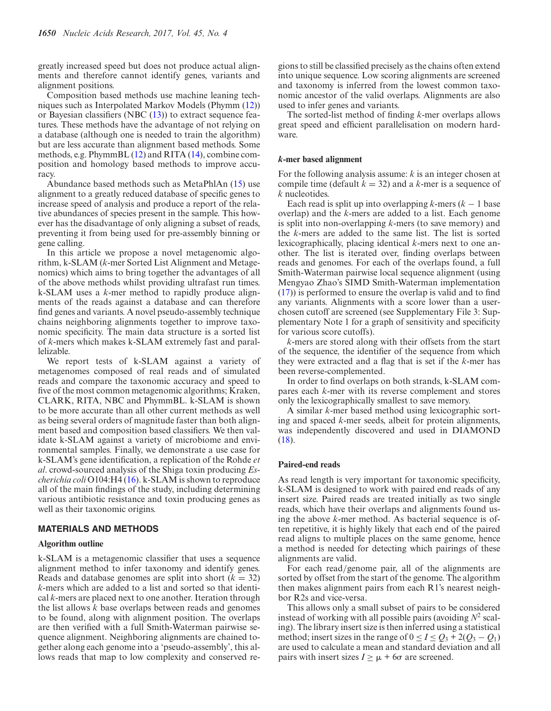greatly increased speed but does not produce actual alignments and therefore cannot identify genes, variants and alignment positions.

Composition based methods use machine leaning techniques such as Interpolated Markov Models (Phymm [\(12\)](#page-7-0)) or Bayesian classifiers (NBC [\(13\)](#page-7-0)) to extract sequence features. These methods have the advantage of not relying on a database (although one is needed to train the algorithm) but are less accurate than alignment based methods. Some methods, e.g. PhymmBL [\(12\)](#page-7-0) and RITA [\(14\)](#page-7-0), combine composition and homology based methods to improve accuracy.

Abundance based methods such as MetaPhlAn [\(15\)](#page-7-0) use alignment to a greatly reduced database of specific genes to increase speed of analysis and produce a report of the relative abundances of species present in the sample. This however has the disadvantage of only aligning a subset of reads, preventing it from being used for pre-assembly binning or gene calling.

In this article we propose a novel metagenomic algorithm, k-SLAM (*k*-mer Sorted List Alignment and Metagenomics) which aims to bring together the advantages of all of the above methods whilst providing ultrafast run times. k-SLAM uses a *k*-mer method to rapidly produce alignments of the reads against a database and can therefore find genes and variants. A novel pseudo-assembly technique chains neighboring alignments together to improve taxonomic specificity. The main data structure is a sorted list of *k*-mers which makes k-SLAM extremely fast and parallelizable.

We report tests of k-SLAM against a variety of metagenomes composed of real reads and of simulated reads and compare the taxonomic accuracy and speed to five of the most common metagenomic algorithms; Kraken, CLARK, RITA, NBC and PhymmBL. k-SLAM is shown to be more accurate than all other current methods as well as being several orders of magnitude faster than both alignment based and composition based classifiers. We then validate k-SLAM against a variety of microbiome and environmental samples. Finally, we demonstrate a use case for k-SLAM's gene identification, a replication of the Rohde *et al*. crowd-sourced analysis of the Shiga toxin producing *Escherichia coli* O104:H4 [\(16\)](#page-7-0). k-SLAM is shown to reproduce all of the main findings of the study, including determining various antibiotic resistance and toxin producing genes as well as their taxonomic origins.

## **MATERIALS AND METHODS**

#### **Algorithm outline**

k-SLAM is a metagenomic classifier that uses a sequence alignment method to infer taxonomy and identify genes. Reads and database genomes are split into short  $(k = 32)$ *k*-mers which are added to a list and sorted so that identical *k*-mers are placed next to one another. Iteration through the list allows *k* base overlaps between reads and genomes to be found, along with alignment position. The overlaps are then verified with a full Smith-Waterman pairwise sequence alignment. Neighboring alignments are chained together along each genome into a 'pseudo-assembly', this allows reads that map to low complexity and conserved re-

gions to still be classified precisely as the chains often extend into unique sequence. Low scoring alignments are screened and taxonomy is inferred from the lowest common taxonomic ancestor of the valid overlaps. Alignments are also used to infer genes and variants.

The sorted-list method of finding *k*-mer overlaps allows great speed and efficient parallelisation on modern hardware.

#### *k***-mer based alignment**

For the following analysis assume: *k* is an integer chosen at compile time (default  $k = 32$ ) and a *k*-mer is a sequence of *k* nucleotides.

Each read is split up into overlapping  $k$ -mers ( $k - 1$  base overlap) and the *k*-mers are added to a list. Each genome is split into non-overlapping *k*-mers (to save memory) and the *k*-mers are added to the same list. The list is sorted lexicographically, placing identical *k*-mers next to one another. The list is iterated over, finding overlaps between reads and genomes. For each of the overlaps found, a full Smith-Waterman pairwise local sequence alignment (using Mengyao Zhao's SIMD Smith-Waterman implementation [\(17\)](#page-7-0)) is performed to ensure the overlap is valid and to find any variants. Alignments with a score lower than a userchosen cutoff are screened (see Supplementary File 3: Supplementary Note 1 for a graph of sensitivity and specificity for various score cutoffs).

*k*-mers are stored along with their offsets from the start of the sequence, the identifier of the sequence from which they were extracted and a flag that is set if the *k*-mer has been reverse-complemented.

In order to find overlaps on both strands, k-SLAM compares each *k*-mer with its reverse complement and stores only the lexicographically smallest to save memory.

A similar *k*-mer based method using lexicographic sorting and spaced *k*-mer seeds, albeit for protein alignments, was independently discovered and used in DIAMOND [\(18\)](#page-7-0).

#### **Paired-end reads**

As read length is very important for taxonomic specificity, k-SLAM is designed to work with paired end reads of any insert size. Paired reads are treated initially as two single reads, which have their overlaps and alignments found using the above *k*-mer method. As bacterial sequence is often repetitive, it is highly likely that each end of the paired read aligns to multiple places on the same genome, hence a method is needed for detecting which pairings of these alignments are valid.

For each read/genome pair, all of the alignments are sorted by offset from the start of the genome. The algorithm then makes alignment pairs from each R1's nearest neighbor R2s and vice-versa.

This allows only a small subset of pairs to be considered instead of working with all possible pairs (avoiding  $N^2$  scaling). The library insert size is then inferred using a statistical method; insert sizes in the range of  $0 \le I \le Q_3 + 2(Q_3 - Q_1)$ are used to calculate a mean and standard deviation and all pairs with insert sizes  $I \ge \mu + 6\sigma$  are screened.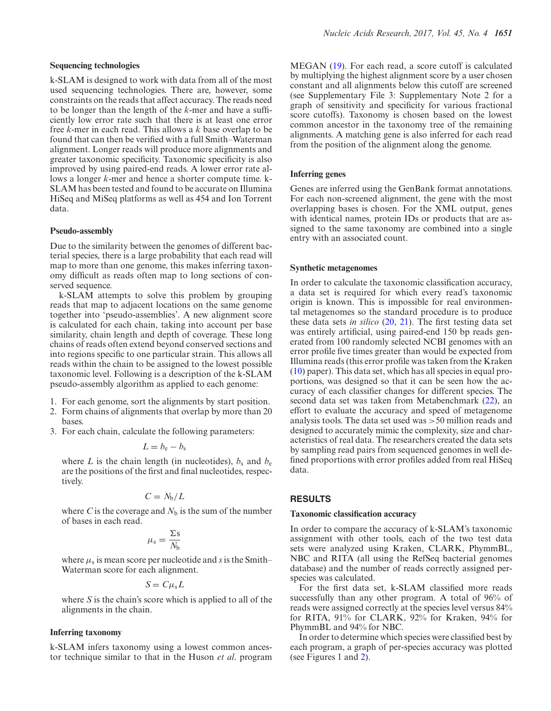k-SLAM is designed to work with data from all of the most used sequencing technologies. There are, however, some constraints on the reads that affect accuracy. The reads need to be longer than the length of the *k*-mer and have a sufficiently low error rate such that there is at least one error free *k*-mer in each read. This allows a *k* base overlap to be found that can then be verified with a full Smith–Waterman alignment. Longer reads will produce more alignments and greater taxonomic specificity. Taxonomic specificity is also improved by using paired-end reads. A lower error rate allows a longer *k*-mer and hence a shorter compute time. k-SLAM has been tested and found to be accurate on Illumina HiSeq and MiSeq platforms as well as 454 and Ion Torrent data.

#### **Pseudo-assembly**

Due to the similarity between the genomes of different bacterial species, there is a large probability that each read will map to more than one genome, this makes inferring taxonomy difficult as reads often map to long sections of conserved sequence.

k-SLAM attempts to solve this problem by grouping reads that map to adjacent locations on the same genome together into 'pseudo-assemblies'. A new alignment score is calculated for each chain, taking into account per base similarity, chain length and depth of coverage. These long chains of reads often extend beyond conserved sections and into regions specific to one particular strain. This allows all reads within the chain to be assigned to the lowest possible taxonomic level. Following is a description of the k-SLAM pseudo-assembly algorithm as applied to each genome:

- 1. For each genome, sort the alignments by start position.
- 2. Form chains of alignments that overlap by more than 20 bases.
- 3. For each chain, calculate the following parameters:

$$
L = b_{\rm e} - b_{\rm s}
$$

where *L* is the chain length (in nucleotides),  $b_s$  and  $b_e$ are the positions of the first and final nucleotides, respectively.

$$
C=N_b/L
$$

where *C* is the coverage and  $N<sub>b</sub>$  is the sum of the number of bases in each read.

$$
\mu_{\rm s} = \frac{\Sigma \rm s}{N_{\rm b}}
$$

where  $\mu_s$  is mean score per nucleotide and *s* is the Smith– Waterman score for each alignment.

$$
S=C\mu_s L
$$

where *S* is the chain's score which is applied to all of the alignments in the chain.

## **Inferring taxonomy**

k-SLAM infers taxonomy using a lowest common ancestor technique similar to that in the Huson *et al*. program MEGAN [\(19\)](#page-7-0). For each read, a score cutoff is calculated by multiplying the highest alignment score by a user chosen constant and all alignments below this cutoff are screened (see Supplementary File 3: Supplementary Note 2 for a graph of sensitivity and specificity for various fractional score cutoffs). Taxonomy is chosen based on the lowest common ancestor in the taxonomy tree of the remaining alignments. A matching gene is also inferred for each read from the position of the alignment along the genome.

#### **Inferring genes**

Genes are inferred using the GenBank format annotations. For each non-screened alignment, the gene with the most overlapping bases is chosen. For the XML output, genes with identical names, protein IDs or products that are assigned to the same taxonomy are combined into a single entry with an associated count.

#### **Synthetic metagenomes**

In order to calculate the taxonomic classification accuracy, a data set is required for which every read's taxonomic origin is known. This is impossible for real environmental metagenomes so the standard procedure is to produce these data sets *in silico* [\(20,](#page-7-0) [21\)](#page-7-0). The first testing data set was entirely artificial, using paired-end 150 bp reads generated from 100 randomly selected NCBI genomes with an error profile five times greater than would be expected from Illumina reads (this error profile was taken from the Kraken [\(10\)](#page-7-0) paper). This data set, which has all species in equal proportions, was designed so that it can be seen how the accuracy of each classifier changes for different species. The second data set was taken from Metabenchmark [\(22\)](#page-7-0), an effort to evaluate the accuracy and speed of metagenome analysis tools. The data set used was >50 million reads and designed to accurately mimic the complexity, size and characteristics of real data. The researchers created the data sets by sampling read pairs from sequenced genomes in well defined proportions with error profiles added from real HiSeq data.

#### **RESULTS**

#### **Taxonomic classification accuracy**

In order to compare the accuracy of k-SLAM's taxonomic assignment with other tools, each of the two test data sets were analyzed using Kraken, CLARK, PhymmBL, NBC and RITA (all using the RefSeq bacterial genomes database) and the number of reads correctly assigned perspecies was calculated.

For the first data set, k-SLAM classified more reads successfully than any other program. A total of 96% of reads were assigned correctly at the species level versus 84% for RITA, 91% for CLARK, 92% for Kraken, 94% for PhymmBL and 94% for NBC.

In order to determine which species were classified best by each program, a graph of per-species accuracy was plotted (see Figures [1](#page-3-0) and [2\)](#page-3-0).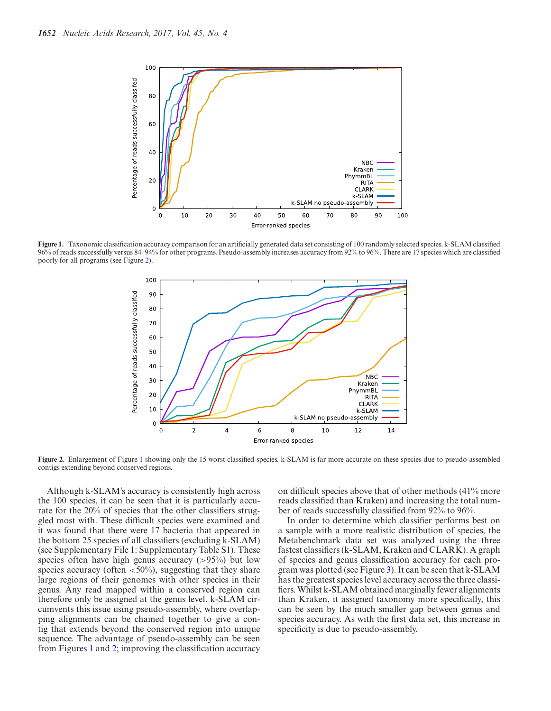<span id="page-3-0"></span>

**Figure 1.** Taxonomic classification accuracy comparison for an artificially generated data set consisting of 100 randomly selected species. k-SLAM classified 96% of reads successfully versus 84–94% for other programs. Pseudo-assembly increases accuracy from 92% to 96%. There are 17 species which are classified poorly for all programs (see Figure 2).



**Figure 2.** Enlargement of Figure 1 showing only the 15 worst classified species. k-SLAM is far more accurate on these species due to pseudo-assembled contigs extending beyond conserved regions.

Although k-SLAM's accuracy is consistently high across the 100 species, it can be seen that it is particularly accurate for the 20% of species that the other classifiers struggled most with. These difficult species were examined and it was found that there were 17 bacteria that appeared in the bottom 25 species of all classifiers (excluding k-SLAM) (see Supplementary File 1: Supplementary Table S1). These species often have high genus accuracy  $(>95%)$  but low species accuracy (often  $\langle 50\%$ ), suggesting that they share large regions of their genomes with other species in their genus. Any read mapped within a conserved region can therefore only be assigned at the genus level. k-SLAM circumvents this issue using pseudo-assembly, where overlapping alignments can be chained together to give a contig that extends beyond the conserved region into unique sequence. The advantage of pseudo-assembly can be seen from Figures 1 and 2; improving the classification accuracy

on difficult species above that of other methods (41% more reads classified than Kraken) and increasing the total number of reads successfully classified from 92% to 96%.

In order to determine which classifier performs best on a sample with a more realistic distribution of species, the Metabenchmark data set was analyzed using the three fastest classifiers (k-SLAM, Kraken and CLARK). A graph of species and genus classification accuracy for each program was plotted (see Figure [3\)](#page-4-0). It can be seen that k-SLAM has the greatest species level accuracy across the three classifiers. Whilst k-SLAM obtained marginally fewer alignments than Kraken, it assigned taxonomy more specifically, this can be seen by the much smaller gap between genus and species accuracy. As with the first data set, this increase in specificity is due to pseudo-assembly.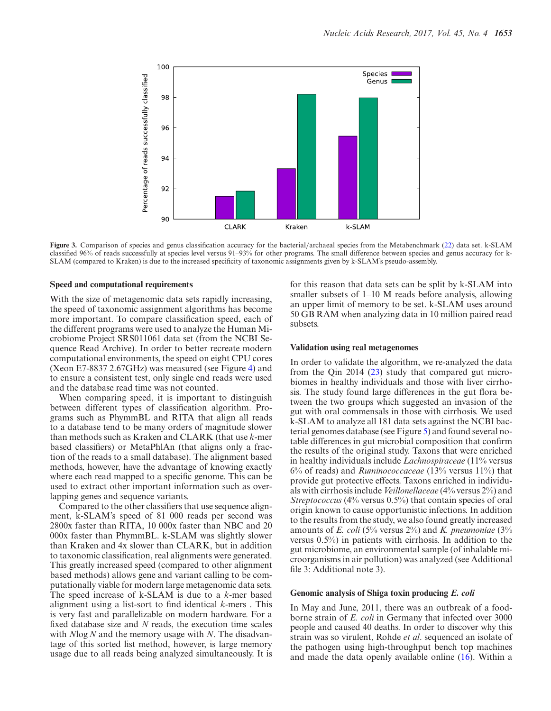<span id="page-4-0"></span>

**Figure 3.** Comparison of species and genus classification accuracy for the bacterial/archaeal species from the Metabenchmark [\(22\)](#page-7-0) data set. k-SLAM classified 96% of reads successfully at species level versus 91–93% for other programs. The small difference between species and genus accuracy for k-SLAM (compared to Kraken) is due to the increased specificity of taxonomic assignments given by k-SLAM's pseudo-assembly.

### **Speed and computational requirements**

With the size of metagenomic data sets rapidly increasing, the speed of taxonomic assignment algorithms has become more important. To compare classification speed, each of the different programs were used to analyze the Human Microbiome Project SRS011061 data set (from the NCBI Sequence Read Archive). In order to better recreate modern computational environments, the speed on eight CPU cores (Xeon E7-8837 2.67GHz) was measured (see Figure [4\)](#page-5-0) and to ensure a consistent test, only single end reads were used and the database read time was not counted.

When comparing speed, it is important to distinguish between different types of classification algorithm. Programs such as PhymmBL and RITA that align all reads to a database tend to be many orders of magnitude slower than methods such as Kraken and CLARK (that use *k*-mer based classifiers) or MetaPhlAn (that aligns only a fraction of the reads to a small database). The alignment based methods, however, have the advantage of knowing exactly where each read mapped to a specific genome. This can be used to extract other important information such as overlapping genes and sequence variants.

Compared to the other classifiers that use sequence alignment, k-SLAM's speed of 81 000 reads per second was 2800x faster than RITA, 10 000x faster than NBC and 20 000x faster than PhymmBL. k-SLAM was slightly slower than Kraken and 4x slower than CLARK, but in addition to taxonomic classification, real alignments were generated. This greatly increased speed (compared to other alignment based methods) allows gene and variant calling to be computationally viable for modern large metagenomic data sets. The speed increase of k-SLAM is due to a *k*-mer based alignment using a list-sort to find identical *k*-mers . This is very fast and parallelizable on modern hardware. For a fixed database size and *N* reads, the execution time scales with *N*log *N* and the memory usage with *N*. The disadvantage of this sorted list method, however, is large memory usage due to all reads being analyzed simultaneously. It is for this reason that data sets can be split by k-SLAM into smaller subsets of 1–10 M reads before analysis, allowing an upper limit of memory to be set. k-SLAM uses around 50 GB RAM when analyzing data in 10 million paired read subsets.

#### **Validation using real metagenomes**

In order to validate the algorithm, we re-analyzed the data from the Qin  $2014$   $(23)$  study that compared gut microbiomes in healthy individuals and those with liver cirrhosis. The study found large differences in the gut flora between the two groups which suggested an invasion of the gut with oral commensals in those with cirrhosis. We used k-SLAM to analyze all 181 data sets against the NCBI bacterial genomes database (see Figure [5\)](#page-5-0) and found several notable differences in gut microbial composition that confirm the results of the original study. Taxons that were enriched in healthy individuals include *Lachnospiraceae* (11% versus 6% of reads) and *Ruminococcaceae* (13% versus 11%) that provide gut protective effects. Taxons enriched in individuals with cirrhosis include *Veillonellaceae* (4% versus 2%) and *Streptococcus* (4% versus 0.5%) that contain species of oral origin known to cause opportunistic infections. In addition to the results from the study, we also found greatly increased amounts of *E. coli* (5% versus 2%) and *K. pneumoniae* (3% versus 0.5%) in patients with cirrhosis. In addition to the gut microbiome, an environmental sample (of inhalable microorganisms in air pollution) was analyzed (see Additional file 3: Additional note 3).

#### **Genomic analysis of Shiga toxin producing** *E. coli*

In May and June, 2011, there was an outbreak of a foodborne strain of *E. coli* in Germany that infected over 3000 people and caused 40 deaths. In order to discover why this strain was so virulent, Rohde *et al*. sequenced an isolate of the pathogen using high-throughput bench top machines and made the data openly available online  $(16)$ . Within a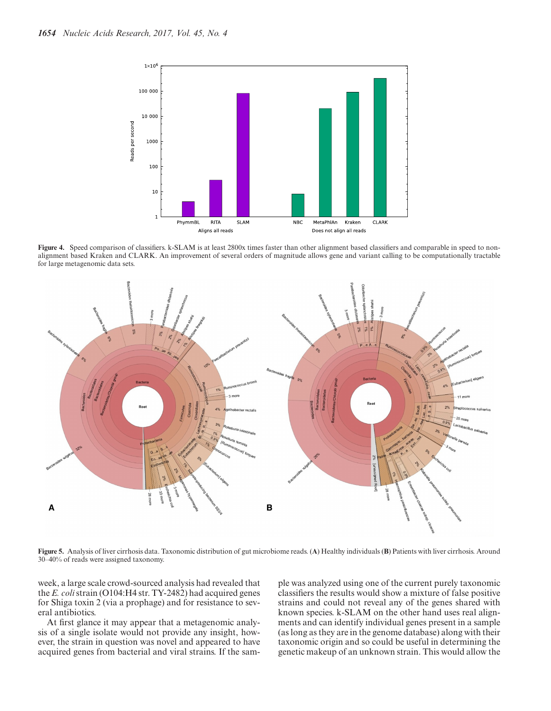<span id="page-5-0"></span>

Figure 4. Speed comparison of classifiers. k-SLAM is at least 2800x times faster than other alignment based classifiers and comparable in speed to nonalignment based Kraken and CLARK. An improvement of several orders of magnitude allows gene and variant calling to be computationally tractable for large metagenomic data sets.



**Figure 5.** Analysis of liver cirrhosis data. Taxonomic distribution of gut microbiome reads. (**A**) Healthy individuals (**B**) Patients with liver cirrhosis. Around 30–40% of reads were assigned taxonomy.

week, a large scale crowd-sourced analysis had revealed that the *E. coli*strain (O104:H4 str. TY-2482) had acquired genes for Shiga toxin 2 (via a prophage) and for resistance to several antibiotics.

At first glance it may appear that a metagenomic analysis of a single isolate would not provide any insight, however, the strain in question was novel and appeared to have acquired genes from bacterial and viral strains. If the sam-

ple was analyzed using one of the current purely taxonomic classifiers the results would show a mixture of false positive strains and could not reveal any of the genes shared with known species. k-SLAM on the other hand uses real alignments and can identify individual genes present in a sample (as long as they are in the genome database) along with their taxonomic origin and so could be useful in determining the genetic makeup of an unknown strain. This would allow the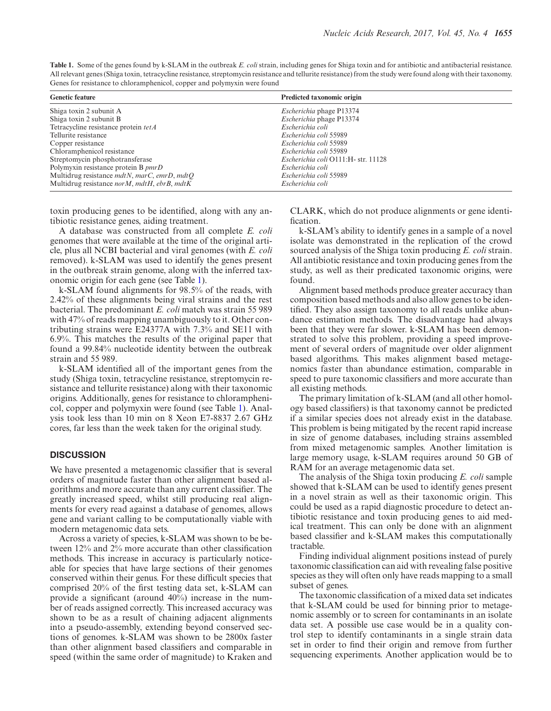| <b>Genetic feature</b>                              | Predicted taxonomic origin          |  |
|-----------------------------------------------------|-------------------------------------|--|
| Shiga toxin 2 subunit A                             | <i>Escherichia</i> phage P13374     |  |
| Shiga toxin 2 subunit B                             | Escherichia phage P13374            |  |
| Tetracycline resistance protein tetA                | Escherichia coli                    |  |
| Tellurite resistance                                | Escherichia coli 55989              |  |
| Copper resistance                                   | Escherichia coli 55989              |  |
| Chloramphenicol resistance                          | Escherichia coli 55989              |  |
| Streptomycin phosphotransferase                     | Escherichia coli O111:H- str. 11128 |  |
| Polymyxin resistance protein B pmrD                 | Escherichia coli                    |  |
| Multidrug resistance $mdtN$ , marC, emrD, mdtO      | Escherichia coli 55989              |  |
| Multidrug resistance <i>nor M, mdtH, ebrB, mdtK</i> | Escherichia coli                    |  |

**Table 1.** Some of the genes found by k-SLAM in the outbreak *E. coli* strain, including genes for Shiga toxin and for antibiotic and antibacterial resistance. All relevant genes (Shiga toxin, tetracycline resistance, streptomycin resistance and tellurite resistance) from the study were found along with their taxonomy. Genes for resistance to chloramphenicol, copper and polymyxin were found

toxin producing genes to be identified, along with any antibiotic resistance genes, aiding treatment.

A database was constructed from all complete *E. coli* genomes that were available at the time of the original article, plus all NCBI bacterial and viral genomes (with *E. coli* removed). k-SLAM was used to identify the genes present in the outbreak strain genome, along with the inferred taxonomic origin for each gene (see Table 1).

k-SLAM found alignments for 98.5% of the reads, with 2.42% of these alignments being viral strains and the rest bacterial. The predominant *E. coli* match was strain 55 989 with 47% of reads mapping unambiguously to it. Other contributing strains were E24377A with 7.3% and SE11 with 6.9%. This matches the results of the original paper that found a 99.84% nucleotide identity between the outbreak strain and 55 989.

k-SLAM identified all of the important genes from the study (Shiga toxin, tetracycline resistance, streptomycin resistance and tellurite resistance) along with their taxonomic origins. Additionally, genes for resistance to chloramphenicol, copper and polymyxin were found (see Table 1). Analysis took less than 10 min on 8 Xeon E7-8837 2.67 GHz cores, far less than the week taken for the original study.

## **DISCUSSION**

We have presented a metagenomic classifier that is several orders of magnitude faster than other alignment based algorithms and more accurate than any current classifier. The greatly increased speed, whilst still producing real alignments for every read against a database of genomes, allows gene and variant calling to be computationally viable with modern metagenomic data sets.

Across a variety of species, k-SLAM was shown to be between 12% and 2% more accurate than other classification methods. This increase in accuracy is particularly noticeable for species that have large sections of their genomes conserved within their genus. For these difficult species that comprised 20% of the first testing data set, k-SLAM can provide a significant (around 40%) increase in the number of reads assigned correctly. This increased accuracy was shown to be as a result of chaining adjacent alignments into a pseudo-assembly, extending beyond conserved sections of genomes. k-SLAM was shown to be 2800x faster than other alignment based classifiers and comparable in speed (within the same order of magnitude) to Kraken and CLARK, which do not produce alignments or gene identification.

k-SLAM's ability to identify genes in a sample of a novel isolate was demonstrated in the replication of the crowd sourced analysis of the Shiga toxin producing *E. coli* strain. All antibiotic resistance and toxin producing genes from the study, as well as their predicated taxonomic origins, were found.

Alignment based methods produce greater accuracy than composition based methods and also allow genes to be identified. They also assign taxonomy to all reads unlike abundance estimation methods. The disadvantage had always been that they were far slower. k-SLAM has been demonstrated to solve this problem, providing a speed improvement of several orders of magnitude over older alignment based algorithms. This makes alignment based metagenomics faster than abundance estimation, comparable in speed to pure taxonomic classifiers and more accurate than all existing methods.

The primary limitation of k-SLAM (and all other homology based classifiers) is that taxonomy cannot be predicted if a similar species does not already exist in the database. This problem is being mitigated by the recent rapid increase in size of genome databases, including strains assembled from mixed metagenomic samples. Another limitation is large memory usage, k-SLAM requires around 50 GB of RAM for an average metagenomic data set.

The analysis of the Shiga toxin producing *E. coli* sample showed that k-SLAM can be used to identify genes present in a novel strain as well as their taxonomic origin. This could be used as a rapid diagnostic procedure to detect antibiotic resistance and toxin producing genes to aid medical treatment. This can only be done with an alignment based classifier and k-SLAM makes this computationally tractable.

Finding individual alignment positions instead of purely taxonomic classification can aid with revealing false positive species as they will often only have reads mapping to a small subset of genes.

The taxonomic classification of a mixed data set indicates that k-SLAM could be used for binning prior to metagenomic assembly or to screen for contaminants in an isolate data set. A possible use case would be in a quality control step to identify contaminants in a single strain data set in order to find their origin and remove from further sequencing experiments. Another application would be to